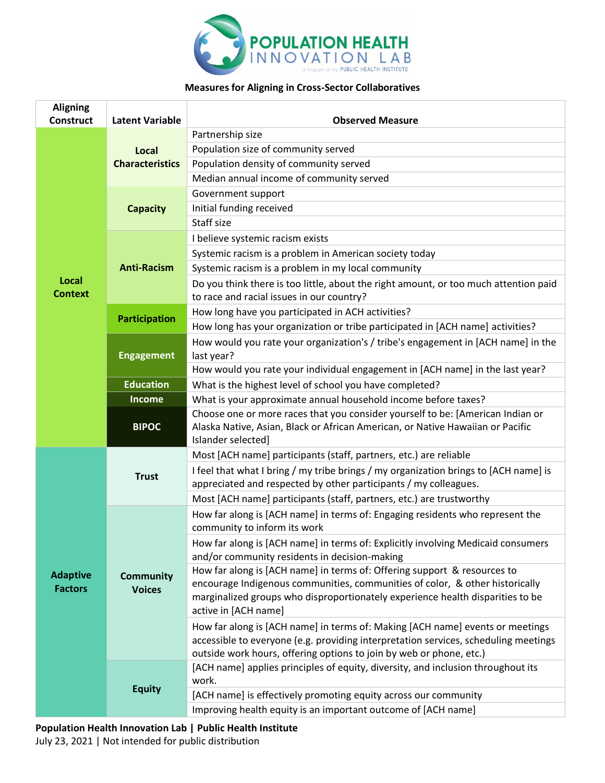

## **Measures for Aligning in Cross-Sector Collaboratives**

| <b>Aligning</b><br><b>Construct</b> | <b>Latent Variable</b>            | <b>Observed Measure</b>                                                                                                                                                                                                                                            |
|-------------------------------------|-----------------------------------|--------------------------------------------------------------------------------------------------------------------------------------------------------------------------------------------------------------------------------------------------------------------|
| Local<br><b>Context</b>             |                                   | Partnership size                                                                                                                                                                                                                                                   |
|                                     | Local<br><b>Characteristics</b>   | Population size of community served                                                                                                                                                                                                                                |
|                                     |                                   | Population density of community served                                                                                                                                                                                                                             |
|                                     |                                   | Median annual income of community served                                                                                                                                                                                                                           |
|                                     | <b>Capacity</b>                   | Government support                                                                                                                                                                                                                                                 |
|                                     |                                   | Initial funding received                                                                                                                                                                                                                                           |
|                                     |                                   | Staff size                                                                                                                                                                                                                                                         |
|                                     | <b>Anti-Racism</b>                | I believe systemic racism exists                                                                                                                                                                                                                                   |
|                                     |                                   | Systemic racism is a problem in American society today                                                                                                                                                                                                             |
|                                     |                                   | Systemic racism is a problem in my local community                                                                                                                                                                                                                 |
|                                     |                                   | Do you think there is too little, about the right amount, or too much attention paid<br>to race and racial issues in our country?                                                                                                                                  |
|                                     | Participation                     | How long have you participated in ACH activities?                                                                                                                                                                                                                  |
|                                     |                                   | How long has your organization or tribe participated in [ACH name] activities?                                                                                                                                                                                     |
|                                     | <b>Engagement</b>                 | How would you rate your organization's / tribe's engagement in [ACH name] in the<br>last year?                                                                                                                                                                     |
|                                     |                                   | How would you rate your individual engagement in [ACH name] in the last year?                                                                                                                                                                                      |
|                                     | <b>Education</b>                  | What is the highest level of school you have completed?                                                                                                                                                                                                            |
|                                     | <b>Income</b>                     | What is your approximate annual household income before taxes?                                                                                                                                                                                                     |
|                                     | <b>BIPOC</b>                      | Choose one or more races that you consider yourself to be: [American Indian or<br>Alaska Native, Asian, Black or African American, or Native Hawaiian or Pacific<br>Islander selected]                                                                             |
|                                     | <b>Trust</b>                      | Most [ACH name] participants (staff, partners, etc.) are reliable                                                                                                                                                                                                  |
|                                     |                                   | I feel that what I bring / my tribe brings / my organization brings to [ACH name] is<br>appreciated and respected by other participants / my colleagues.                                                                                                           |
|                                     |                                   | Most [ACH name] participants (staff, partners, etc.) are trustworthy                                                                                                                                                                                               |
|                                     | <b>Community</b><br><b>Voices</b> | How far along is [ACH name] in terms of: Engaging residents who represent the<br>community to inform its work                                                                                                                                                      |
|                                     |                                   | How far along is [ACH name] in terms of: Explicitly involving Medicaid consumers<br>and/or community residents in decision-making                                                                                                                                  |
| <b>Adaptive</b><br><b>Factors</b>   |                                   | How far along is [ACH name] in terms of: Offering support & resources to<br>encourage Indigenous communities, communities of color, & other historically<br>marginalized groups who disproportionately experience health disparities to be<br>active in [ACH name] |
|                                     |                                   | How far along is [ACH name] in terms of: Making [ACH name] events or meetings<br>accessible to everyone (e.g. providing interpretation services, scheduling meetings<br>outside work hours, offering options to join by web or phone, etc.)                        |
|                                     | <b>Equity</b>                     | [ACH name] applies principles of equity, diversity, and inclusion throughout its<br>work.                                                                                                                                                                          |
|                                     |                                   | [ACH name] is effectively promoting equity across our community                                                                                                                                                                                                    |
|                                     |                                   | Improving health equity is an important outcome of [ACH name]                                                                                                                                                                                                      |

**Population Health Innovation Lab | Public Health Institute** July 23, 2021 | Not intended for public distribution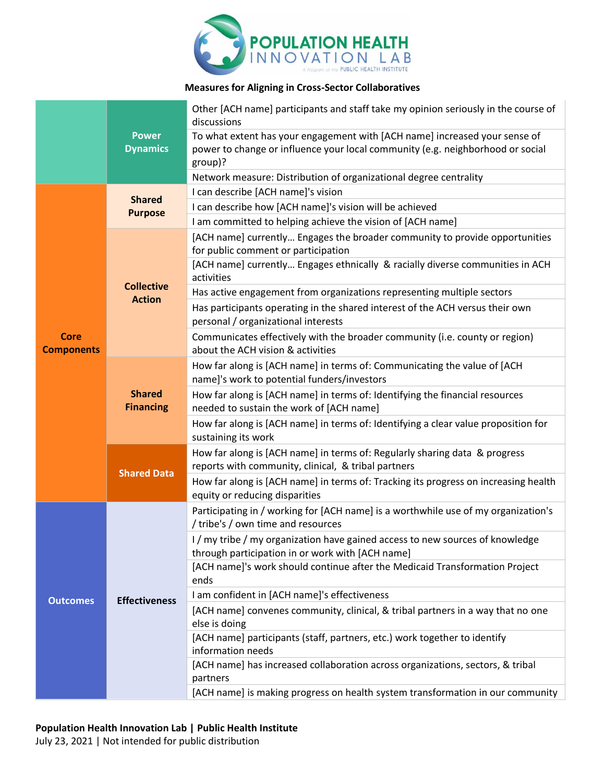

## **Measures for Aligning in Cross-Sector Collaboratives**

|                                  |                                    | Other [ACH name] participants and staff take my opinion seriously in the course of<br>discussions                                                                       |
|----------------------------------|------------------------------------|-------------------------------------------------------------------------------------------------------------------------------------------------------------------------|
|                                  | <b>Power</b><br><b>Dynamics</b>    | To what extent has your engagement with [ACH name] increased your sense of<br>power to change or influence your local community (e.g. neighborhood or social<br>group)? |
|                                  |                                    | Network measure: Distribution of organizational degree centrality                                                                                                       |
| <b>Core</b><br><b>Components</b> | <b>Shared</b><br><b>Purpose</b>    | I can describe [ACH name]'s vision                                                                                                                                      |
|                                  |                                    | I can describe how [ACH name]'s vision will be achieved                                                                                                                 |
|                                  |                                    | I am committed to helping achieve the vision of [ACH name]                                                                                                              |
|                                  | <b>Collective</b><br><b>Action</b> | [ACH name] currently Engages the broader community to provide opportunities<br>for public comment or participation                                                      |
|                                  |                                    | [ACH name] currently Engages ethnically & racially diverse communities in ACH<br>activities                                                                             |
|                                  |                                    | Has active engagement from organizations representing multiple sectors                                                                                                  |
|                                  |                                    | Has participants operating in the shared interest of the ACH versus their own<br>personal / organizational interests                                                    |
|                                  |                                    | Communicates effectively with the broader community (i.e. county or region)<br>about the ACH vision & activities                                                        |
|                                  | <b>Shared</b><br><b>Financing</b>  | How far along is [ACH name] in terms of: Communicating the value of [ACH<br>name]'s work to potential funders/investors                                                 |
|                                  |                                    | How far along is [ACH name] in terms of: Identifying the financial resources<br>needed to sustain the work of [ACH name]                                                |
|                                  |                                    | How far along is [ACH name] in terms of: Identifying a clear value proposition for<br>sustaining its work                                                               |
|                                  | <b>Shared Data</b>                 | How far along is [ACH name] in terms of: Regularly sharing data & progress<br>reports with community, clinical, & tribal partners                                       |
|                                  |                                    | How far along is [ACH name] in terms of: Tracking its progress on increasing health<br>equity or reducing disparities                                                   |
| <b>Outcomes</b>                  | <b>Effectiveness</b>               | Participating in / working for [ACH name] is a worthwhile use of my organization's<br>/ tribe's / own time and resources                                                |
|                                  |                                    | I/my tribe/my organization have gained access to new sources of knowledge<br>through participation in or work with [ACH name]                                           |
|                                  |                                    | [ACH name]'s work should continue after the Medicaid Transformation Project<br>ends                                                                                     |
|                                  |                                    | I am confident in [ACH name]'s effectiveness                                                                                                                            |
|                                  |                                    | [ACH name] convenes community, clinical, & tribal partners in a way that no one<br>else is doing                                                                        |
|                                  |                                    | [ACH name] participants (staff, partners, etc.) work together to identify                                                                                               |
|                                  |                                    | information needs                                                                                                                                                       |
|                                  |                                    | [ACH name] has increased collaboration across organizations, sectors, & tribal<br>partners                                                                              |
|                                  |                                    | [ACH name] is making progress on health system transformation in our community                                                                                          |